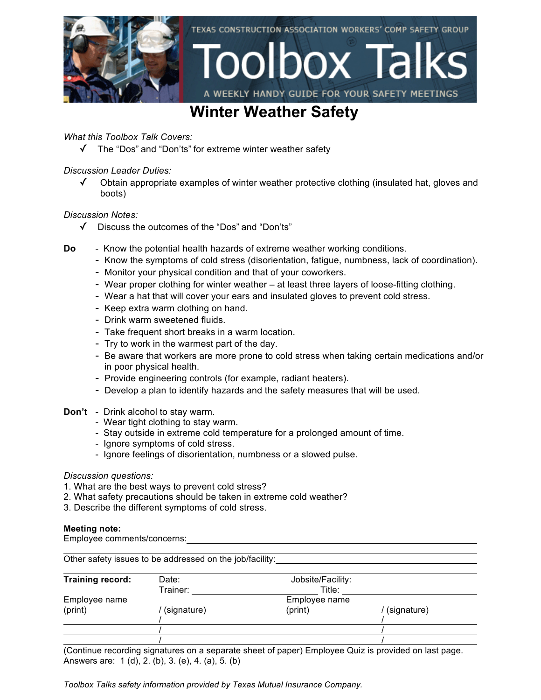

## **Winter Weather Safety**

*What this Toolbox Talk Covers:*

✓ The "Dos" and "Don'ts" for extreme winter weather safety

*Discussion Leader Duties:*

✓ Obtain appropriate examples of winter weather protective clothing (insulated hat, gloves and boots)

### *Discussion Notes:*

- ✓ Discuss the outcomes of the "Dos" and "Don'ts"
- **Do** Know the potential health hazards of extreme weather working conditions.
	- Know the symptoms of cold stress (disorientation, fatigue, numbness, lack of coordination).
	- Monitor your physical condition and that of your coworkers.
	- Wear proper clothing for winter weather at least three layers of loose-fitting clothing.
	- Wear a hat that will cover your ears and insulated gloves to prevent cold stress.
	- Keep extra warm clothing on hand.
	- Drink warm sweetened fluids.
	- Take frequent short breaks in a warm location.
	- Try to work in the warmest part of the day.
	- Be aware that workers are more prone to cold stress when taking certain medications and/or in poor physical health.
	- Provide engineering controls (for example, radiant heaters).
	- Develop a plan to identify hazards and the safety measures that will be used.
- **Don't** Drink alcohol to stay warm.
	- Wear tight clothing to stay warm.
	- Stay outside in extreme cold temperature for a prolonged amount of time.
	- Ignore symptoms of cold stress.
	- Ignore feelings of disorientation, numbness or a slowed pulse.

### *Discussion questions:*

- 1. What are the best ways to prevent cold stress?
- 2. What safety precautions should be taken in extreme cold weather?
- 3. Describe the different symptoms of cold stress.

#### **Meeting note:**

Employee comments/concerns:

Other safety issues to be addressed on the job/facility: **Training record:** Date: Date: Jobsite/Facility: Trainer: Title: Employee name Employee name (print) / (signature) (print) / (signature) / / / / / /

(Continue recording signatures on a separate sheet of paper) Employee Quiz is provided on last page. Answers are: 1 (d), 2. (b), 3. (e), 4. (a), 5. (b)

*Toolbox Talks safety information provided by Texas Mutual Insurance Company.*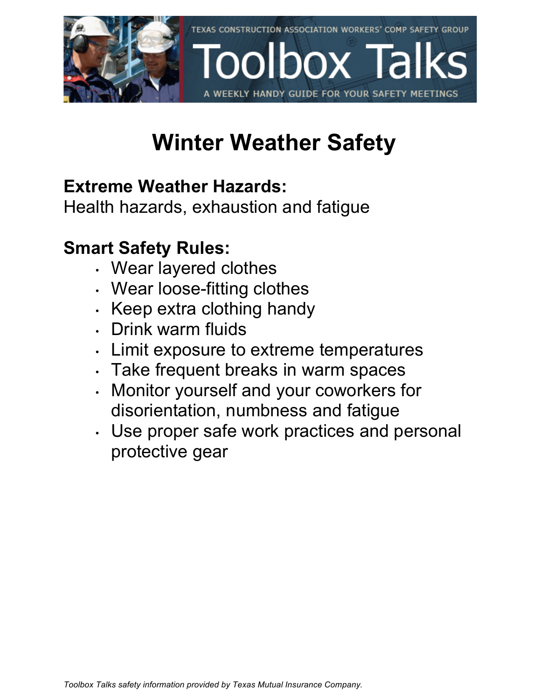

# **Winter Weather Safety**

# **Extreme Weather Hazards:**

Health hazards, exhaustion and fatigue

# **Smart Safety Rules:**

- Wear layered clothes
- Wear loose-fitting clothes
- Keep extra clothing handy
- Drink warm fluids
- Limit exposure to extreme temperatures
- Take frequent breaks in warm spaces
- Monitor yourself and your coworkers for disorientation, numbness and fatigue
- Use proper safe work practices and personal protective gear